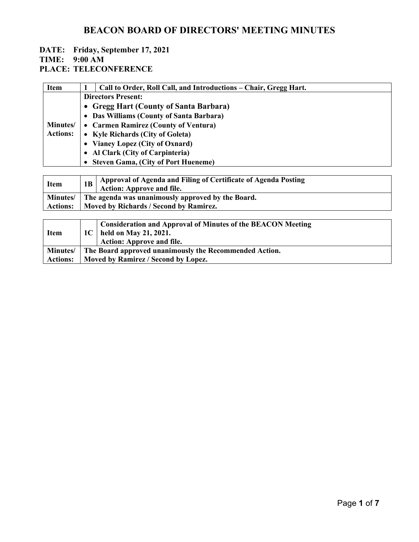#### **DATE: Friday, September 17, 2021 TIME: 9:00 AM**

| <b>Item</b>                        |                                                   | Call to Order, Roll Call, and Introductions – Chair, Gregg Hart. |  |
|------------------------------------|---------------------------------------------------|------------------------------------------------------------------|--|
|                                    | <b>Directors Present:</b>                         |                                                                  |  |
|                                    | • Gregg Hart (County of Santa Barbara)            |                                                                  |  |
| <b>Minutes/</b><br><b>Actions:</b> | • Das Williams (County of Santa Barbara)          |                                                                  |  |
|                                    | • Carmen Ramirez (County of Ventura)              |                                                                  |  |
|                                    | • Kyle Richards (City of Goleta)                  |                                                                  |  |
|                                    | • Vianey Lopez (City of Oxnard)                   |                                                                  |  |
|                                    | • Al Clark (City of Carpinteria)                  |                                                                  |  |
|                                    | • Steven Gama, (City of Port Hueneme)             |                                                                  |  |
|                                    |                                                   |                                                                  |  |
| <b>Item</b>                        | 1B                                                | Approval of Agenda and Filing of Certificate of Agenda Posting   |  |
|                                    |                                                   | Action: Approve and file.                                        |  |
| <b>Minutes</b> /                   | The agenda was unanimously approved by the Board. |                                                                  |  |
| <b>Actions:</b>                    | Moved by Richards / Second by Ramirez.            |                                                                  |  |

| <b>Item</b>     |                                                        | <b>Consideration and Approval of Minutes of the BEACON Meeting</b><br>1C   held on May 21, 2021.<br><b>Action: Approve and file.</b> |
|-----------------|--------------------------------------------------------|--------------------------------------------------------------------------------------------------------------------------------------|
| <b>Minutes/</b> | The Board approved unanimously the Recommended Action. |                                                                                                                                      |
| <b>Actions:</b> | Moved by Ramirez / Second by Lopez.                    |                                                                                                                                      |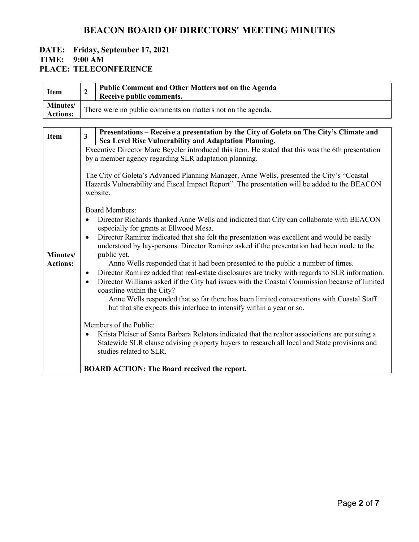#### **DATE: Friday, September 17, 2021 TIME: 9:00 AM PLACE: TELECONFERENCE**

| <b>Item</b><br>$\mathbf{2}$                                                     |                                                             | Public Comment and Other Matters not on the Agenda                                                                                                                                                                                                                                                                                                                                                                                                                                                                                                                                                                                                                                                                                                                                                                                                                                                                                                                                                                                                                                                                                                                                                                                                                                                                                                                                                                                                                                                                                                         |
|---------------------------------------------------------------------------------|-------------------------------------------------------------|------------------------------------------------------------------------------------------------------------------------------------------------------------------------------------------------------------------------------------------------------------------------------------------------------------------------------------------------------------------------------------------------------------------------------------------------------------------------------------------------------------------------------------------------------------------------------------------------------------------------------------------------------------------------------------------------------------------------------------------------------------------------------------------------------------------------------------------------------------------------------------------------------------------------------------------------------------------------------------------------------------------------------------------------------------------------------------------------------------------------------------------------------------------------------------------------------------------------------------------------------------------------------------------------------------------------------------------------------------------------------------------------------------------------------------------------------------------------------------------------------------------------------------------------------------|
|                                                                                 |                                                             | Receive public comments.                                                                                                                                                                                                                                                                                                                                                                                                                                                                                                                                                                                                                                                                                                                                                                                                                                                                                                                                                                                                                                                                                                                                                                                                                                                                                                                                                                                                                                                                                                                                   |
| Minutes/<br><b>Actions:</b>                                                     | There were no public comments on matters not on the agenda. |                                                                                                                                                                                                                                                                                                                                                                                                                                                                                                                                                                                                                                                                                                                                                                                                                                                                                                                                                                                                                                                                                                                                                                                                                                                                                                                                                                                                                                                                                                                                                            |
|                                                                                 |                                                             |                                                                                                                                                                                                                                                                                                                                                                                                                                                                                                                                                                                                                                                                                                                                                                                                                                                                                                                                                                                                                                                                                                                                                                                                                                                                                                                                                                                                                                                                                                                                                            |
| $\overline{3}$<br><b>Item</b>                                                   |                                                             | Presentations - Receive a presentation by the City of Goleta on The City's Climate and<br>Sea Level Rise Vulnerability and Adaptation Planning.                                                                                                                                                                                                                                                                                                                                                                                                                                                                                                                                                                                                                                                                                                                                                                                                                                                                                                                                                                                                                                                                                                                                                                                                                                                                                                                                                                                                            |
| $\bullet$<br>$\bullet$<br>Minutes/<br><b>Actions:</b><br>$\bullet$<br>$\bullet$ |                                                             | Executive Director Marc Beyeler introduced this item. He stated that this was the 6th presentation<br>by a member agency regarding SLR adaptation planning.<br>The City of Goleta's Advanced Planning Manager, Anne Wells, presented the City's "Coastal<br>Hazards Vulnerability and Fiscal Impact Report". The presentation will be added to the BEACON<br>website.<br><b>Board Members:</b><br>Director Richards thanked Anne Wells and indicated that City can collaborate with BEACON<br>especially for grants at Ellwood Mesa.<br>Director Ramirez indicated that she felt the presentation was excellent and would be easily<br>understood by lay-persons. Director Ramirez asked if the presentation had been made to the<br>public yet.<br>Anne Wells responded that it had been presented to the public a number of times.<br>Director Ramirez added that real-estate disclosures are tricky with regards to SLR information.<br>Director Williams asked if the City had issues with the Coastal Commission because of limited<br>coastline within the City?<br>Anne Wells responded that so far there has been limited conversations with Coastal Staff<br>but that she expects this interface to intensify within a year or so.<br>Members of the Public:<br>Krista Pleiser of Santa Barbara Relators indicated that the realtor associations are pursuing a<br>Statewide SLR clause advising property buyers to research all local and State provisions and<br>studies related to SLR.<br><b>BOARD ACTION: The Board received the report.</b> |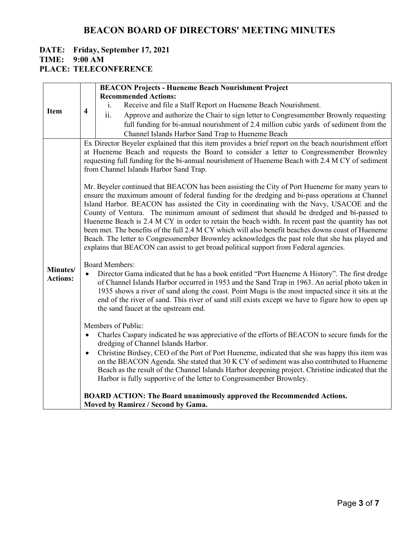# **DATE: Friday, September 17, 2021 TIME: 9:00 AM**

|                             |                                                                                                                                                                                                                                                                                                                                                                                                                                                                                                                                                                                                                                                                                                                                                                                                     | <b>BEACON Projects - Hueneme Beach Nourishment Project</b>                                                                                                                                                                                                                                                                                                                                                                                                                                                                              |  |
|-----------------------------|-----------------------------------------------------------------------------------------------------------------------------------------------------------------------------------------------------------------------------------------------------------------------------------------------------------------------------------------------------------------------------------------------------------------------------------------------------------------------------------------------------------------------------------------------------------------------------------------------------------------------------------------------------------------------------------------------------------------------------------------------------------------------------------------------------|-----------------------------------------------------------------------------------------------------------------------------------------------------------------------------------------------------------------------------------------------------------------------------------------------------------------------------------------------------------------------------------------------------------------------------------------------------------------------------------------------------------------------------------------|--|
| <b>Item</b>                 |                                                                                                                                                                                                                                                                                                                                                                                                                                                                                                                                                                                                                                                                                                                                                                                                     | <b>Recommended Actions:</b>                                                                                                                                                                                                                                                                                                                                                                                                                                                                                                             |  |
|                             | $\overline{\mathbf{4}}$                                                                                                                                                                                                                                                                                                                                                                                                                                                                                                                                                                                                                                                                                                                                                                             | Receive and file a Staff Report on Hueneme Beach Nourishment.<br>$\mathbf{i}$ .                                                                                                                                                                                                                                                                                                                                                                                                                                                         |  |
|                             |                                                                                                                                                                                                                                                                                                                                                                                                                                                                                                                                                                                                                                                                                                                                                                                                     | ii.<br>Approve and authorize the Chair to sign letter to Congressmember Brownly requesting                                                                                                                                                                                                                                                                                                                                                                                                                                              |  |
|                             |                                                                                                                                                                                                                                                                                                                                                                                                                                                                                                                                                                                                                                                                                                                                                                                                     | full funding for bi-annual nourishment of 2.4 million cubic yards of sediment from the                                                                                                                                                                                                                                                                                                                                                                                                                                                  |  |
|                             |                                                                                                                                                                                                                                                                                                                                                                                                                                                                                                                                                                                                                                                                                                                                                                                                     | Channel Islands Harbor Sand Trap to Hueneme Beach                                                                                                                                                                                                                                                                                                                                                                                                                                                                                       |  |
|                             | Ex Director Beyeler explained that this item provides a brief report on the beach nourishment effort<br>at Hueneme Beach and requests the Board to consider a letter to Congressmember Brownley<br>requesting full funding for the bi-annual nourishment of Hueneme Beach with 2.4 M CY of sediment<br>from Channel Islands Harbor Sand Trap.                                                                                                                                                                                                                                                                                                                                                                                                                                                       |                                                                                                                                                                                                                                                                                                                                                                                                                                                                                                                                         |  |
| Minutes/<br><b>Actions:</b> | Mr. Beyeler continued that BEACON has been assisting the City of Port Hueneme for many years to<br>ensure the maximum amount of federal funding for the dredging and bi-pass operations at Channel<br>Island Harbor. BEACON has assisted the City in coordinating with the Navy, USACOE and the<br>County of Ventura. The minimum amount of sediment that should be dredged and bi-passed to<br>Hueneme Beach is 2.4 M CY in order to retain the beach width. In recent past the quantity has not<br>been met. The benefits of the full 2.4 M CY which will also benefit beaches downs coast of Hueneme<br>Beach. The letter to Congressmember Brownley acknowledges the past role that she has played and<br>explains that BEACON can assist to get broad political support from Federal agencies. |                                                                                                                                                                                                                                                                                                                                                                                                                                                                                                                                         |  |
|                             | <b>Board Members:</b><br>Director Gama indicated that he has a book entitled "Port Hueneme A History". The first dredge<br>$\bullet$<br>of Channel Islands Harbor occurred in 1953 and the Sand Trap in 1963. An aerial photo taken in<br>1935 shows a river of sand along the coast. Point Mugu is the most impacted since it sits at the<br>end of the river of sand. This river of sand still exists except we have to figure how to open up<br>the sand faucet at the upstream end.                                                                                                                                                                                                                                                                                                             |                                                                                                                                                                                                                                                                                                                                                                                                                                                                                                                                         |  |
|                             | $\bullet$<br>$\bullet$                                                                                                                                                                                                                                                                                                                                                                                                                                                                                                                                                                                                                                                                                                                                                                              | Members of Public:<br>Charles Caspary indicated he was appreciative of the efforts of BEACON to secure funds for the<br>dredging of Channel Islands Harbor.<br>Christine Birdsey, CEO of the Port of Port Hueneme, indicated that she was happy this item was<br>on the BEACON Agenda. She stated that 30 K CY of sediment was also contributed to Hueneme<br>Beach as the result of the Channel Islands Harbor deepening project. Christine indicated that the<br>Harbor is fully supportive of the letter to Congressmember Brownley. |  |
|                             |                                                                                                                                                                                                                                                                                                                                                                                                                                                                                                                                                                                                                                                                                                                                                                                                     | <b>BOARD ACTION: The Board unanimously approved the Recommended Actions.</b><br>Moved by Ramirez / Second by Gama.                                                                                                                                                                                                                                                                                                                                                                                                                      |  |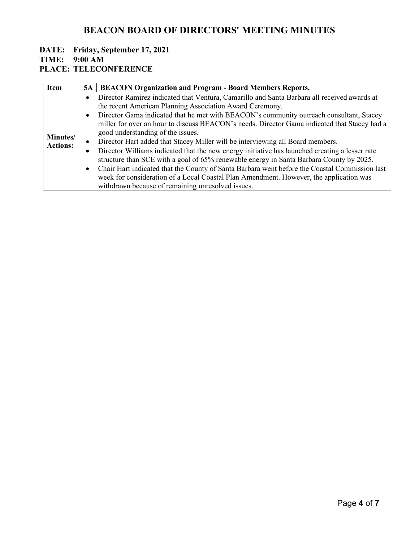#### **DATE: Friday, September 17, 2021 TIME: 9:00 AM**

| <b>Item</b>                 | 5A        | <b>BEACON Organization and Program - Board Members Reports.</b>                                |
|-----------------------------|-----------|------------------------------------------------------------------------------------------------|
| Minutes/<br><b>Actions:</b> | $\bullet$ | Director Ramirez indicated that Ventura, Camarillo and Santa Barbara all received awards at    |
|                             |           | the recent American Planning Association Award Ceremony.                                       |
|                             | $\bullet$ | Director Gama indicated that he met with BEACON's community outreach consultant, Stacey        |
|                             |           | miller for over an hour to discuss BEACON's needs. Director Gama indicated that Stacey had a   |
|                             |           | good understanding of the issues.                                                              |
|                             | $\bullet$ | Director Hart added that Stacey Miller will be interviewing all Board members.                 |
|                             | $\bullet$ | Director Williams indicated that the new energy initiative has launched creating a lesser rate |
|                             |           | structure than SCE with a goal of 65% renewable energy in Santa Barbara County by 2025.        |
|                             | $\bullet$ | Chair Hart indicated that the County of Santa Barbara went before the Coastal Commission last  |
|                             |           | week for consideration of a Local Coastal Plan Amendment. However, the application was         |
|                             |           | withdrawn because of remaining unresolved issues.                                              |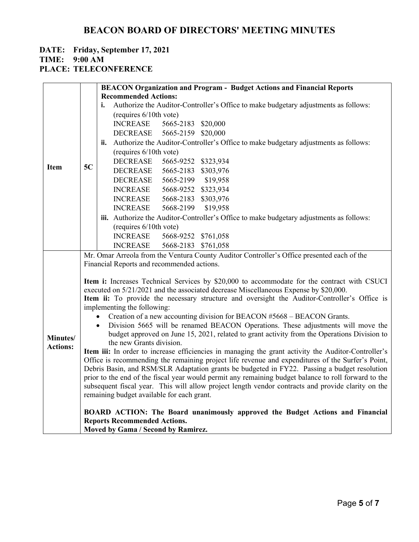### **DATE: Friday, September 17, 2021**

**TIME: 9:00 AM**

|                 |                                                                                                                                                                                                                                                                                                                    | <b>BEACON Organization and Program - Budget Actions and Financial Reports</b>                                           |  |  |  |  |
|-----------------|--------------------------------------------------------------------------------------------------------------------------------------------------------------------------------------------------------------------------------------------------------------------------------------------------------------------|-------------------------------------------------------------------------------------------------------------------------|--|--|--|--|
|                 |                                                                                                                                                                                                                                                                                                                    | <b>Recommended Actions:</b>                                                                                             |  |  |  |  |
|                 |                                                                                                                                                                                                                                                                                                                    | Authorize the Auditor-Controller's Office to make budgetary adjustments as follows:<br>i.                               |  |  |  |  |
|                 |                                                                                                                                                                                                                                                                                                                    | (requires 6/10th vote)                                                                                                  |  |  |  |  |
|                 |                                                                                                                                                                                                                                                                                                                    | <b>INCREASE</b><br>5665-2183 \$20,000                                                                                   |  |  |  |  |
|                 |                                                                                                                                                                                                                                                                                                                    | DECREASE<br>5665-2159 \$20,000                                                                                          |  |  |  |  |
|                 |                                                                                                                                                                                                                                                                                                                    | ii. Authorize the Auditor-Controller's Office to make budgetary adjustments as follows:                                 |  |  |  |  |
|                 |                                                                                                                                                                                                                                                                                                                    | (requires 6/10th vote)                                                                                                  |  |  |  |  |
|                 |                                                                                                                                                                                                                                                                                                                    | <b>DECREASE</b><br>5665-9252 \$323,934                                                                                  |  |  |  |  |
| <b>Item</b>     | 5C                                                                                                                                                                                                                                                                                                                 | <b>DECREASE</b><br>5665-2183 \$303,976                                                                                  |  |  |  |  |
|                 |                                                                                                                                                                                                                                                                                                                    | <b>DECREASE</b><br>5665-2199 \$19,958                                                                                   |  |  |  |  |
|                 |                                                                                                                                                                                                                                                                                                                    | 5668-9252 \$323,934<br><b>INCREASE</b>                                                                                  |  |  |  |  |
|                 |                                                                                                                                                                                                                                                                                                                    | 5668-2183 \$303,976<br><b>INCREASE</b>                                                                                  |  |  |  |  |
|                 |                                                                                                                                                                                                                                                                                                                    | <b>INCREASE</b><br>5668-2199<br>\$19,958                                                                                |  |  |  |  |
|                 |                                                                                                                                                                                                                                                                                                                    | iii. Authorize the Auditor-Controller's Office to make budgetary adjustments as follows:                                |  |  |  |  |
|                 |                                                                                                                                                                                                                                                                                                                    | (requires 6/10th vote)                                                                                                  |  |  |  |  |
|                 |                                                                                                                                                                                                                                                                                                                    | <b>INCREASE</b><br>5668-9252 \$761,058                                                                                  |  |  |  |  |
|                 |                                                                                                                                                                                                                                                                                                                    | <b>INCREASE</b><br>5668-2183 \$761,058                                                                                  |  |  |  |  |
|                 |                                                                                                                                                                                                                                                                                                                    | Mr. Omar Arreola from the Ventura County Auditor Controller's Office presented each of the                              |  |  |  |  |
|                 |                                                                                                                                                                                                                                                                                                                    | Financial Reports and recommended actions.                                                                              |  |  |  |  |
|                 | Item i: Increases Technical Services by \$20,000 to accommodate for the contract with CSUCI<br>executed on 5/21/2021 and the associated decrease Miscellaneous Expense by \$20,000.<br>Item ii: To provide the necessary structure and oversight the Auditor-Controller's Office is<br>implementing the following: |                                                                                                                         |  |  |  |  |
|                 | Creation of a new accounting division for BEACON #5668 - BEACON Grants.<br>$\bullet$                                                                                                                                                                                                                               |                                                                                                                         |  |  |  |  |
|                 |                                                                                                                                                                                                                                                                                                                    | Division 5665 will be renamed BEACON Operations. These adjustments will move the<br>$\bullet$                           |  |  |  |  |
| Minutes/        |                                                                                                                                                                                                                                                                                                                    | budget approved on June 15, 2021, related to grant activity from the Operations Division to<br>the new Grants division. |  |  |  |  |
| <b>Actions:</b> |                                                                                                                                                                                                                                                                                                                    | Item iii: In order to increase efficiencies in managing the grant activity the Auditor-Controller's                     |  |  |  |  |
|                 | Office is recommending the remaining project life revenue and expenditures of the Surfer's Point,                                                                                                                                                                                                                  |                                                                                                                         |  |  |  |  |
|                 | Debris Basin, and RSM/SLR Adaptation grants be budgeted in FY22. Passing a budget resolution                                                                                                                                                                                                                       |                                                                                                                         |  |  |  |  |
|                 | prior to the end of the fiscal year would permit any remaining budget balance to roll forward to the                                                                                                                                                                                                               |                                                                                                                         |  |  |  |  |
|                 | subsequent fiscal year. This will allow project length vendor contracts and provide clarity on the                                                                                                                                                                                                                 |                                                                                                                         |  |  |  |  |
|                 | remaining budget available for each grant.                                                                                                                                                                                                                                                                         |                                                                                                                         |  |  |  |  |
|                 |                                                                                                                                                                                                                                                                                                                    | BOARD ACTION: The Board unanimously approved the Budget Actions and Financial                                           |  |  |  |  |
|                 |                                                                                                                                                                                                                                                                                                                    | <b>Reports Recommended Actions.</b>                                                                                     |  |  |  |  |
|                 |                                                                                                                                                                                                                                                                                                                    | Moved by Gama / Second by Ramirez.                                                                                      |  |  |  |  |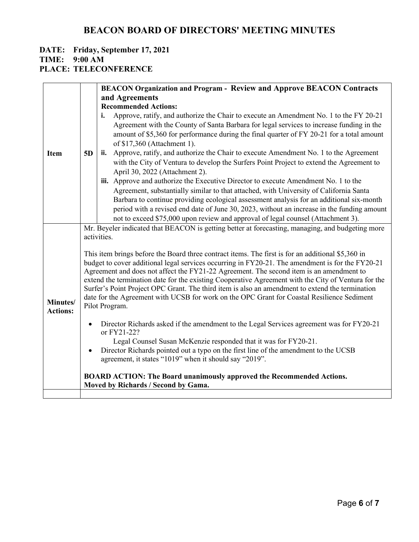### **DATE: Friday, September 17, 2021**

**TIME: 9:00 AM**

|                 |                | <b>BEACON Organization and Program - Review and Approve BEACON Contracts</b>                            |
|-----------------|----------------|---------------------------------------------------------------------------------------------------------|
|                 |                | and Agreements                                                                                          |
|                 |                | <b>Recommended Actions:</b>                                                                             |
|                 |                | Approve, ratify, and authorize the Chair to execute an Amendment No. 1 to the FY 20-21<br>i.            |
|                 |                | Agreement with the County of Santa Barbara for legal services to increase funding in the                |
|                 |                | amount of \$5,360 for performance during the final quarter of FY 20-21 for a total amount               |
|                 |                | of \$17,360 (Attachment 1).                                                                             |
| <b>Item</b>     | 5 <sub>D</sub> | ii. Approve, ratify, and authorize the Chair to execute Amendment No. 1 to the Agreement                |
|                 |                | with the City of Ventura to develop the Surfers Point Project to extend the Agreement to                |
|                 |                | April 30, 2022 (Attachment 2).                                                                          |
|                 |                | iii. Approve and authorize the Executive Director to execute Amendment No. 1 to the                     |
|                 |                | Agreement, substantially similar to that attached, with University of California Santa                  |
|                 |                | Barbara to continue providing ecological assessment analysis for an additional six-month                |
|                 |                | period with a revised end date of June 30, 2023, without an increase in the funding amount              |
|                 |                | not to exceed \$75,000 upon review and approval of legal counsel (Attachment 3).                        |
|                 |                | Mr. Beyeler indicated that BEACON is getting better at forecasting, managing, and budgeting more        |
|                 |                | activities.                                                                                             |
|                 |                | This item brings before the Board three contract items. The first is for an additional \$5,360 in       |
|                 |                | budget to cover additional legal services occurring in FY20-21. The amendment is for the FY20-21        |
|                 |                | Agreement and does not affect the FY21-22 Agreement. The second item is an amendment to                 |
|                 |                | extend the termination date for the existing Cooperative Agreement with the City of Ventura for the     |
|                 |                | Surfer's Point Project OPC Grant. The third item is also an amendment to extend the termination         |
| Minutes/        |                | date for the Agreement with UCSB for work on the OPC Grant for Coastal Resilience Sediment              |
| <b>Actions:</b> |                | Pilot Program.                                                                                          |
|                 |                |                                                                                                         |
|                 |                | Director Richards asked if the amendment to the Legal Services agreement was for FY20-21<br>or FY21-22? |
|                 |                | Legal Counsel Susan McKenzie responded that it was for FY20-21.                                         |
|                 | $\bullet$      | Director Richards pointed out a typo on the first line of the amendment to the UCSB                     |
|                 |                | agreement, it states "1019" when it should say "2019".                                                  |
|                 |                |                                                                                                         |
|                 |                | <b>BOARD ACTION: The Board unanimously approved the Recommended Actions.</b>                            |
|                 |                | Moved by Richards / Second by Gama.                                                                     |
|                 |                |                                                                                                         |